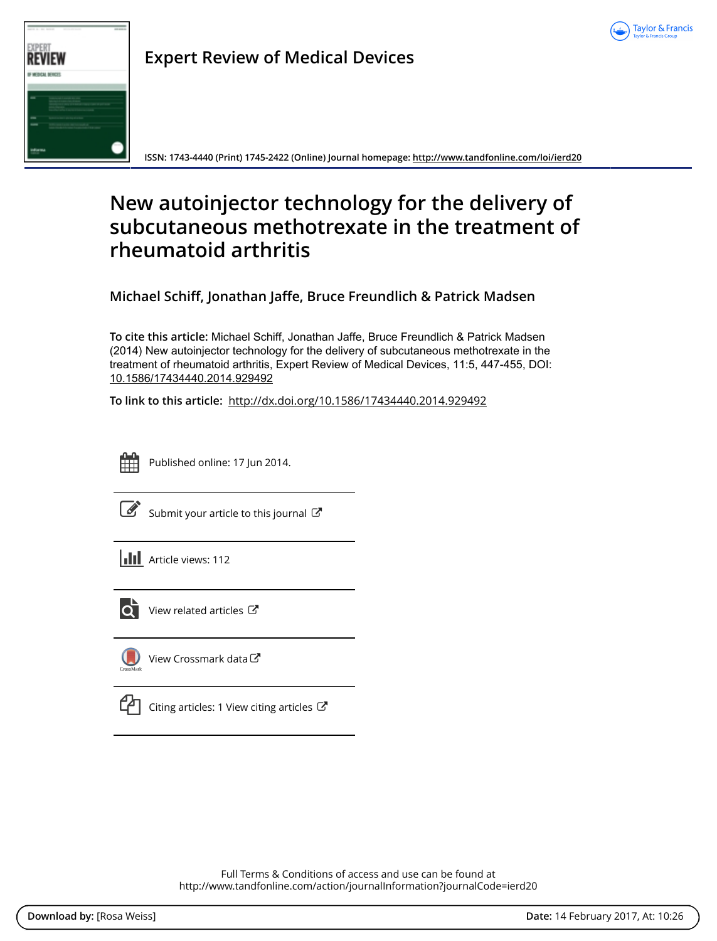



**Expert Review of Medical Devices**

**ISSN: 1743-4440 (Print) 1745-2422 (Online) Journal homepage:<http://www.tandfonline.com/loi/ierd20>**

## **New autoinjector technology for the delivery of subcutaneous methotrexate in the treatment of rheumatoid arthritis**

**Michael Schiff, Jonathan Jaffe, Bruce Freundlich & Patrick Madsen**

**To cite this article:** Michael Schiff, Jonathan Jaffe, Bruce Freundlich & Patrick Madsen (2014) New autoinjector technology for the delivery of subcutaneous methotrexate in the treatment of rheumatoid arthritis, Expert Review of Medical Devices, 11:5, 447-455, DOI: [10.1586/17434440.2014.929492](http://www.tandfonline.com/action/showCitFormats?doi=10.1586/17434440.2014.929492)

**To link to this article:** <http://dx.doi.org/10.1586/17434440.2014.929492>



Published online: 17 Jun 2014.

[Submit your article to this journal](http://www.tandfonline.com/action/authorSubmission?journalCode=ierd20&show=instructions)  $\mathbb{Z}$ 

**III** Article views: 112



[View related articles](http://www.tandfonline.com/doi/mlt/10.1586/17434440.2014.929492) C



[View Crossmark data](http://crossmark.crossref.org/dialog/?doi=10.1586/17434440.2014.929492&domain=pdf&date_stamp=2014-06-17)



[Citing articles: 1 View citing articles](http://www.tandfonline.com/doi/citedby/10.1586/17434440.2014.929492#tabModule)  $\mathbb{Z}$ 

Full Terms & Conditions of access and use can be found at <http://www.tandfonline.com/action/journalInformation?journalCode=ierd20>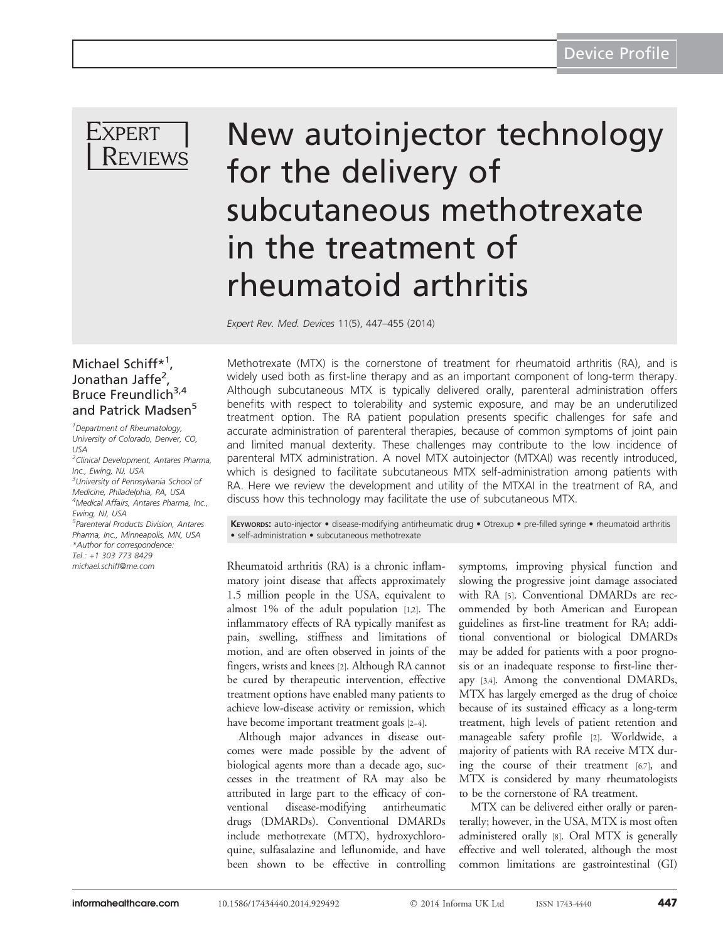

# New autoinjector technology for the delivery of subcutaneous methotrexate in the treatment of rheumatoid arthritis

Expert Rev. Med. Devices 11(5), 447–455 (2014)

### Michael Schiff\*<sup>1</sup>, Jonathan Jaffe<sup>2</sup>, Bruce Freundlich<sup>3,4</sup> and Patrick Madsen<sup>5</sup>

1 Department of Rheumatology, University of Colorado, Denver, CO,  $115A$ 

<sup>2</sup> Clinical Development, Antares Pharma, Inc., Ewing, NJ, USA <sup>3</sup>University of Pennsylvania School of Medicine, Philadelphia, PA, USA 4 Medical Affairs, Antares Pharma, Inc., Ewing, NJ, USA 5 Parenteral Products Division, Antares Pharma, Inc., Minneapolis, MN, USA \*Author for correspondence: Tel.: +1 303 773 8429 [michael.schiff@me.com](mailto:michael.schiff@me.com)

Methotrexate (MTX) is the cornerstone of treatment for rheumatoid arthritis (RA), and is widely used both as first-line therapy and as an important component of long-term therapy. Although subcutaneous MTX is typically delivered orally, parenteral administration offers benefits with respect to tolerability and systemic exposure, and may be an underutilized treatment option. The RA patient population presents specific challenges for safe and accurate administration of parenteral therapies, because of common symptoms of joint pain and limited manual dexterity. These challenges may contribute to the low incidence of parenteral MTX administration. A novel MTX autoinjector (MTXAI) was recently introduced, which is designed to facilitate subcutaneous MTX self-administration among patients with RA. Here we review the development and utility of the MTXAI in the treatment of RA, and discuss how this technology may facilitate the use of subcutaneous MTX.

KEYWORDS: auto-injector • disease-modifying antirheumatic drug • Otrexup • pre-filled syringe • rheumatoid arthritis • self-administration • subcutaneous methotrexate

Rheumatoid arthritis (RA) is a chronic inflammatory joint disease that affects approximately 1.5 million people in the USA, equivalent to almost 1% of the adult population [[1,2](#page-8-0)]. The inflammatory effects of RA typically manifest as pain, swelling, stiffness and limitations of motion, and are often observed in joints of the fingers, wrists and knees [[2\]](#page-8-0). Although RA cannot be cured by therapeutic intervention, effective treatment options have enabled many patients to achieve low-disease activity or remission, which have become important treatment goals [\[2](#page-8-0)–[4\]](#page-8-0).

Although major advances in disease outcomes were made possible by the advent of biological agents more than a decade ago, successes in the treatment of RA may also be attributed in large part to the efficacy of conventional disease-modifying antirheumatic drugs (DMARDs). Conventional DMARDs include methotrexate (MTX), hydroxychloroquine, sulfasalazine and leflunomide, and have been shown to be effective in controlling

symptoms, improving physical function and slowing the progressive joint damage associated with RA [[5](#page-8-0)]. Conventional DMARDs are recommended by both American and European guidelines as first-line treatment for RA; additional conventional or biological DMARDs may be added for patients with a poor prognosis or an inadequate response to first-line therapy [\[3,4](#page-8-0)]. Among the conventional DMARDs, MTX has largely emerged as the drug of choice because of its sustained efficacy as a long-term treatment, high levels of patient retention and manageable safety profile [\[2](#page-8-0)]. Worldwide, a majority of patients with RA receive MTX during the course of their treatment [\[6](#page-8-0),[7\]](#page-8-0), and MTX is considered by many rheumatologists to be the cornerstone of RA treatment.

MTX can be delivered either orally or parenterally; however, in the USA, MTX is most often administered orally [[8\]](#page-8-0). Oral MTX is generally effective and well tolerated, although the most common limitations are gastrointestinal (GI)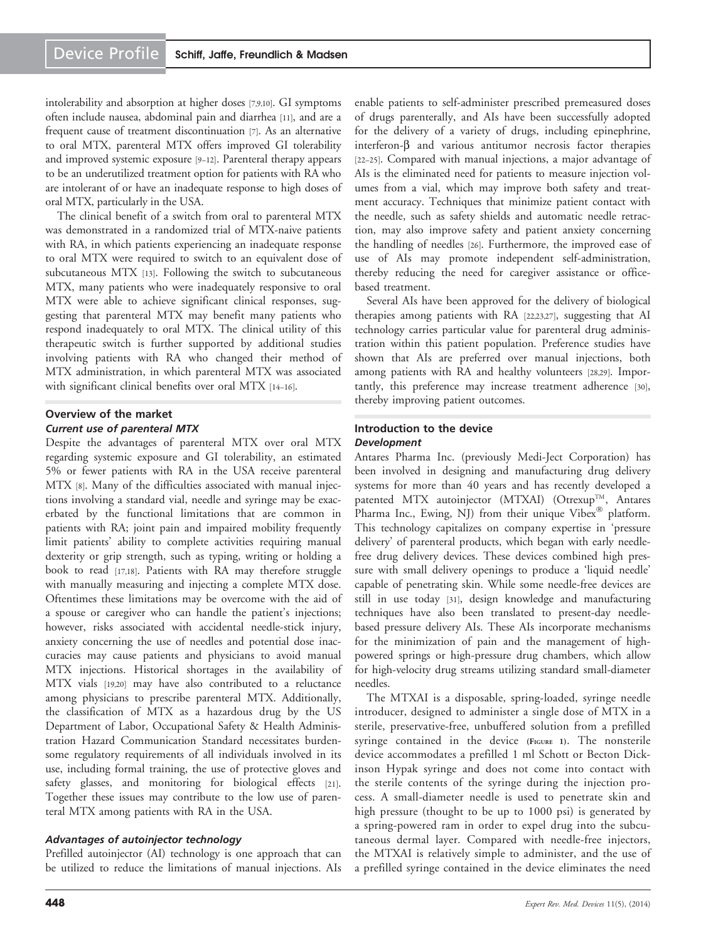intolerability and absorption at higher doses [\[7,9,10](#page-8-0)]. GI symptoms often include nausea, abdominal pain and diarrhea [\[11\]](#page-8-0), and are a frequent cause of treatment discontinuation [\[7](#page-8-0)]. As an alternative to oral MTX, parenteral MTX offers improved GI tolerability and improved systemic exposure [[9](#page-8-0)–[12](#page-8-0)]. Parenteral therapy appears to be an underutilized treatment option for patients with RA who are intolerant of or have an inadequate response to high doses of oral MTX, particularly in the USA.

The clinical benefit of a switch from oral to parenteral MTX was demonstrated in a randomized trial of MTX-naive patients with RA, in which patients experiencing an inadequate response to oral MTX were required to switch to an equivalent dose of subcutaneous MTX [\[13\]](#page-8-0). Following the switch to subcutaneous MTX, many patients who were inadequately responsive to oral MTX were able to achieve significant clinical responses, suggesting that parenteral MTX may benefit many patients who respond inadequately to oral MTX. The clinical utility of this therapeutic switch is further supported by additional studies involving patients with RA who changed their method of MTX administration, in which parenteral MTX was associated with significant clinical benefits over oral MTX [\[14](#page-8-0)–[16](#page-8-0)].

#### Overview of the market Current use of parenteral MTX

Despite the advantages of parenteral MTX over oral MTX regarding systemic exposure and GI tolerability, an estimated 5% or fewer patients with RA in the USA receive parenteral MTX [[8](#page-8-0)]. Many of the difficulties associated with manual injections involving a standard vial, needle and syringe may be exacerbated by the functional limitations that are common in patients with RA; joint pain and impaired mobility frequently limit patients' ability to complete activities requiring manual dexterity or grip strength, such as typing, writing or holding a book to read [[17](#page-8-0),[18](#page-8-0)]. Patients with RA may therefore struggle with manually measuring and injecting a complete MTX dose. Oftentimes these limitations may be overcome with the aid of a spouse or caregiver who can handle the patient's injections; however, risks associated with accidental needle-stick injury, anxiety concerning the use of needles and potential dose inaccuracies may cause patients and physicians to avoid manual MTX injections. Historical shortages in the availability of MTX vials [[19](#page-8-0),[20](#page-8-0)] may have also contributed to a reluctance among physicians to prescribe parenteral MTX. Additionally, the classification of MTX as a hazardous drug by the US Department of Labor, Occupational Safety & Health Administration Hazard Communication Standard necessitates burdensome regulatory requirements of all individuals involved in its use, including formal training, the use of protective gloves and safety glasses, and monitoring for biological effects [\[21](#page-8-0)]. Together these issues may contribute to the low use of parenteral MTX among patients with RA in the USA.

#### Advantages of autoinjector technology

Prefilled autoinjector (AI) technology is one approach that can be utilized to reduce the limitations of manual injections. AIs enable patients to self-administer prescribed premeasured doses of drugs parenterally, and AIs have been successfully adopted for the delivery of a variety of drugs, including epinephrine, interferon- $\beta$  and various antitumor necrosis factor therapies [\[22](#page-8-0)–[25](#page-8-0)]. Compared with manual injections, a major advantage of AIs is the eliminated need for patients to measure injection volumes from a vial, which may improve both safety and treatment accuracy. Techniques that minimize patient contact with the needle, such as safety shields and automatic needle retraction, may also improve safety and patient anxiety concerning the handling of needles [[26](#page-8-0)]. Furthermore, the improved ease of use of AIs may promote independent self-administration, thereby reducing the need for caregiver assistance or officebased treatment.

Several AIs have been approved for the delivery of biological therapies among patients with RA [[22](#page-8-0),[23](#page-8-0),[27](#page-8-0)], suggesting that AI technology carries particular value for parenteral drug administration within this patient population. Preference studies have shown that AIs are preferred over manual injections, both among patients with RA and healthy volunteers [\[28,29](#page-8-0)]. Importantly, this preference may increase treatment adherence [\[30\]](#page-8-0), thereby improving patient outcomes.

#### Introduction to the device Development

Antares Pharma Inc. (previously Medi-Ject Corporation) has been involved in designing and manufacturing drug delivery systems for more than 40 years and has recently developed a patented MTX autoinjector (MTXAI) (Otrexup<sup>TM</sup>, Antares Pharma Inc., Ewing, NJ) from their unique Vibex® platform. This technology capitalizes on company expertise in 'pressure delivery' of parenteral products, which began with early needlefree drug delivery devices. These devices combined high pressure with small delivery openings to produce a 'liquid needle' capable of penetrating skin. While some needle-free devices are still in use today [[31](#page-9-0)], design knowledge and manufacturing techniques have also been translated to present-day needlebased pressure delivery AIs. These AIs incorporate mechanisms for the minimization of pain and the management of highpowered springs or high-pressure drug chambers, which allow for high-velocity drug streams utilizing standard small-diameter needles.

The MTXAI is a disposable, spring-loaded, syringe needle introducer, designed to administer a single dose of MTX in a sterile, preservative-free, unbuffered solution from a prefilled syringe contained in the device [\(FIGURE](#page-3-0) 1). The nonsterile device accommodates a prefilled 1 ml Schott or Becton Dickinson Hypak syringe and does not come into contact with the sterile contents of the syringe during the injection process. A small-diameter needle is used to penetrate skin and high pressure (thought to be up to 1000 psi) is generated by a spring-powered ram in order to expel drug into the subcutaneous dermal layer. Compared with needle-free injectors, the MTXAI is relatively simple to administer, and the use of a prefilled syringe contained in the device eliminates the need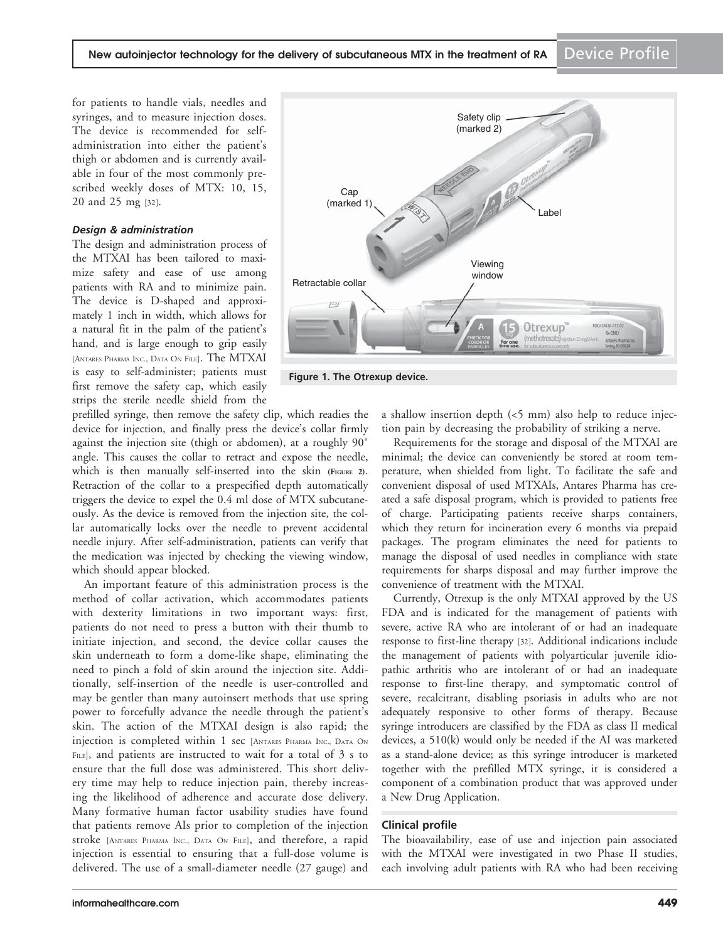<span id="page-3-0"></span>for patients to handle vials, needles and syringes, and to measure injection doses. The device is recommended for selfadministration into either the patient's thigh or abdomen and is currently available in four of the most commonly prescribed weekly doses of MTX: 10, 15, 20 and 25 mg [\[32](#page-9-0)].

#### Design & administration

The design and administration process of the MTXAI has been tailored to maximize safety and ease of use among patients with RA and to minimize pain. The device is D-shaped and approximately 1 inch in width, which allows for a natural fit in the palm of the patient's hand, and is large enough to grip easily [ANTARES PHARMA INC., DATA ON FILE]. The MTXAI is easy to self-administer; patients must first remove the safety cap, which easily strips the sterile needle shield from the



Figure 1. The Otrexup device.

prefilled syringe, then remove the safety clip, which readies the device for injection, and finally press the device's collar firmly against the injection site (thigh or abdomen), at a roughly 90˚ angle. This causes the collar to retract and expose the needle, which is then manually self-inserted into the skin [\(FIGURE](#page-4-0) 2). Retraction of the collar to a prespecified depth automatically triggers the device to expel the 0.4 ml dose of MTX subcutaneously. As the device is removed from the injection site, the collar automatically locks over the needle to prevent accidental needle injury. After self-administration, patients can verify that the medication was injected by checking the viewing window, which should appear blocked.

An important feature of this administration process is the method of collar activation, which accommodates patients with dexterity limitations in two important ways: first, patients do not need to press a button with their thumb to initiate injection, and second, the device collar causes the skin underneath to form a dome-like shape, eliminating the need to pinch a fold of skin around the injection site. Additionally, self-insertion of the needle is user-controlled and may be gentler than many autoinsert methods that use spring power to forcefully advance the needle through the patient's skin. The action of the MTXAI design is also rapid; the injection is completed within 1 sec [ANTARES PHARMA INC., DATA ON FILE], and patients are instructed to wait for a total of 3 s to ensure that the full dose was administered. This short delivery time may help to reduce injection pain, thereby increasing the likelihood of adherence and accurate dose delivery. Many formative human factor usability studies have found that patients remove AIs prior to completion of the injection stroke [ANTARES PHARMA INC., DATA ON FILE], and therefore, a rapid injection is essential to ensuring that a full-dose volume is delivered. The use of a small-diameter needle (27 gauge) and a shallow insertion depth  $\left($  <5 mm) also help to reduce injection pain by decreasing the probability of striking a nerve.

Requirements for the storage and disposal of the MTXAI are minimal; the device can conveniently be stored at room temperature, when shielded from light. To facilitate the safe and convenient disposal of used MTXAIs, Antares Pharma has created a safe disposal program, which is provided to patients free of charge. Participating patients receive sharps containers, which they return for incineration every 6 months via prepaid packages. The program eliminates the need for patients to manage the disposal of used needles in compliance with state requirements for sharps disposal and may further improve the convenience of treatment with the MTXAI.

Currently, Otrexup is the only MTXAI approved by the US FDA and is indicated for the management of patients with severe, active RA who are intolerant of or had an inadequate response to first-line therapy [[32](#page-9-0)]. Additional indications include the management of patients with polyarticular juvenile idiopathic arthritis who are intolerant of or had an inadequate response to first-line therapy, and symptomatic control of severe, recalcitrant, disabling psoriasis in adults who are not adequately responsive to other forms of therapy. Because syringe introducers are classified by the FDA as class II medical devices, a 510(k) would only be needed if the AI was marketed as a stand-alone device; as this syringe introducer is marketed together with the prefilled MTX syringe, it is considered a component of a combination product that was approved under a New Drug Application.

#### Clinical profile

The bioavailability, ease of use and injection pain associated with the MTXAI were investigated in two Phase II studies, each involving adult patients with RA who had been receiving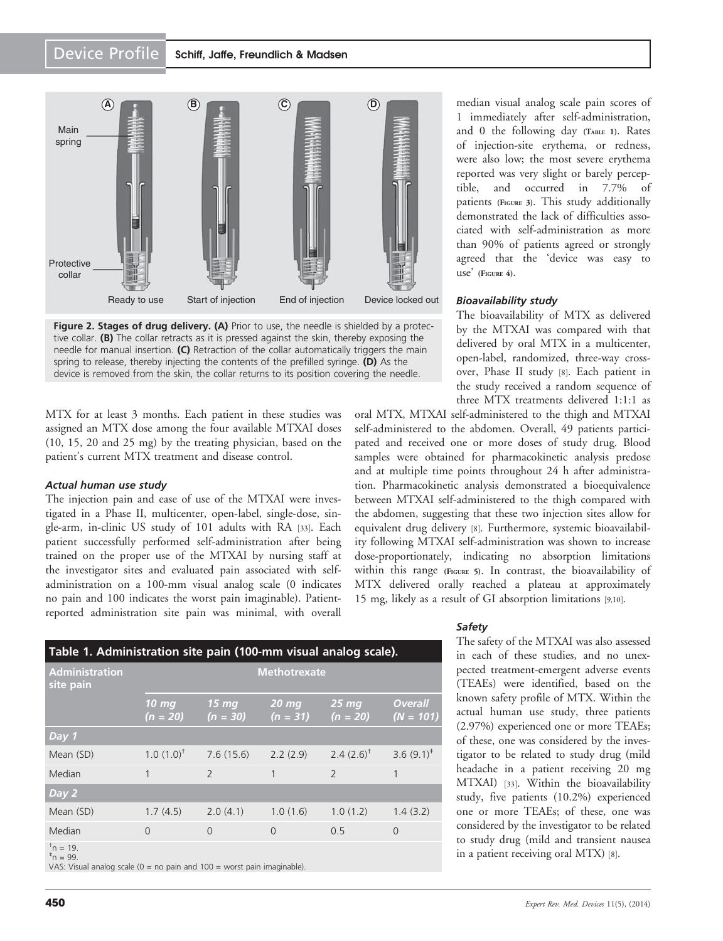<span id="page-4-0"></span>

Figure 2. Stages of drug delivery. (A) Prior to use, the needle is shielded by a protective collar. (B) The collar retracts as it is pressed against the skin, thereby exposing the needle for manual insertion. (C) Retraction of the collar automatically triggers the main spring to release, thereby injecting the contents of the prefilled syringe.  $(D)$  As the device is removed from the skin, the collar returns to its position covering the needle.

MTX for at least 3 months. Each patient in these studies was assigned an MTX dose among the four available MTXAI doses (10, 15, 20 and 25 mg) by the treating physician, based on the patient's current MTX treatment and disease control.

#### Actual human use study

The injection pain and ease of use of the MTXAI were investigated in a Phase II, multicenter, open-label, single-dose, single-arm, in-clinic US study of 101 adults with RA [\[33\]](#page-9-0). Each patient successfully performed self-administration after being trained on the proper use of the MTXAI by nursing staff at the investigator sites and evaluated pain associated with selfadministration on a 100-mm visual analog scale (0 indicates no pain and 100 indicates the worst pain imaginable). Patientreported administration site pain was minimal, with overall

| <b>Administration</b><br>site pain | <b>Methotrexate</b>            |                                |                                |                          |                               |  |
|------------------------------------|--------------------------------|--------------------------------|--------------------------------|--------------------------|-------------------------------|--|
|                                    | 10 <sub>mg</sub><br>$(n = 20)$ | 15 <sub>mg</sub><br>$(n = 30)$ | 20 <sub>mg</sub><br>$(n = 31)$ | $25 \,$ mg<br>$(n = 20)$ | <b>Overall</b><br>$(N = 101)$ |  |
| Day 1                              |                                |                                |                                |                          |                               |  |
| Mean (SD)                          | $1.0(1.0)^{t}$                 | 7.6(15.6)                      | 2.2(2.9)                       | 2.4 $(2.6)^{\dagger}$    | 3.6 $(9.1)^*$                 |  |
| Median                             | 1                              | $\overline{\phantom{0}}$       | 1                              | $\overline{\phantom{0}}$ | 1                             |  |
| Day 2                              |                                |                                |                                |                          |                               |  |
| Mean (SD)                          | 1.7(4.5)                       | 2.0(4.1)                       | 1.0(1.6)                       | 1.0(1.2)                 | 1.4(3.2)                      |  |
| Median                             | 0                              | $\overline{0}$                 | $\mathbf 0$                    | 0.5                      | $\overline{0}$                |  |
| $t_{n} = 10^{-7}$                  |                                |                                |                                |                          |                               |  |

<sup>"</sup>n = 19.<br><sup>‡</sup>n = 99.

VAS: Visual analog scale (0 = no pain and 100 = worst pain imaginable).

were also low; the most severe erythema reported was very slight or barely perceptible, and occurred in 7.7% of patients [\(FIGURE](#page-5-0) 3). This study additionally demonstrated the lack of difficulties associated with self-administration as more than 90% of patients agreed or strongly agreed that the 'device was easy to use' [\(FIGURE](#page-5-0) 4).

median visual analog scale pain scores of 1 immediately after self-administration, and 0 the following day (TABLE 1). Rates of injection-site erythema, or redness,

#### Bioavailability study

The bioavailability of MTX as delivered by the MTXAI was compared with that delivered by oral MTX in a multicenter, open-label, randomized, three-way crossover, Phase II study [\[8\]](#page-8-0). Each patient in the study received a random sequence of three MTX treatments delivered 1:1:1 as

oral MTX, MTXAI self-administered to the thigh and MTXAI self-administered to the abdomen. Overall, 49 patients participated and received one or more doses of study drug. Blood samples were obtained for pharmacokinetic analysis predose and at multiple time points throughout 24 h after administration. Pharmacokinetic analysis demonstrated a bioequivalence between MTXAI self-administered to the thigh compared with the abdomen, suggesting that these two injection sites allow for equivalent drug delivery [\[8\]](#page-8-0). Furthermore, systemic bioavailability following MTXAI self-administration was shown to increase dose-proportionately, indicating no absorption limitations within this range [\(FIGURE](#page-6-0) 5). In contrast, the bioavailability of MTX delivered orally reached a plateau at approximately 15 mg, likely as a result of GI absorption limitations [[9,10](#page-8-0)].

#### Safety

The safety of the MTXAI was also assessed in each of these studies, and no unexpected treatment-emergent adverse events (TEAEs) were identified, based on the known safety profile of MTX. Within the actual human use study, three patients (2.97%) experienced one or more TEAEs; of these, one was considered by the investigator to be related to study drug (mild headache in a patient receiving 20 mg MTXAI) [\[33\]](#page-9-0). Within the bioavailability study, five patients (10.2%) experienced one or more TEAEs; of these, one was considered by the investigator to be related to study drug (mild and transient nausea in a patient receiving oral MTX) [\[8](#page-8-0)].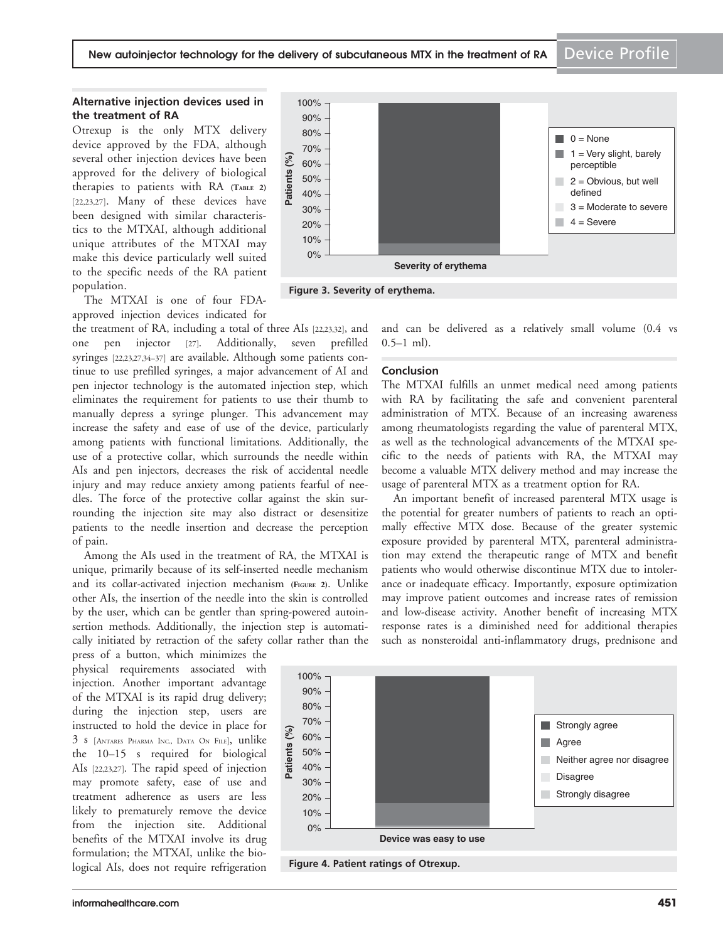#### <span id="page-5-0"></span>Alternative injection devices used in the treatment of RA

Otrexup is the only MTX delivery device approved by the FDA, although several other injection devices have been approved for the delivery of biological therapies to patients with RA [\(TABLE](#page-6-0) 2) [\[22](#page-8-0),[23,27](#page-8-0)]. Many of these devices have been designed with similar characteristics to the MTXAI, although additional unique attributes of the MTXAI may make this device particularly well suited to the specific needs of the RA patient population.

The MTXAI is one of four FDAapproved injection devices indicated for

the treatment of RA, including a total of three AIs [[22,23](#page-8-0)[,32](#page-9-0)], and one pen injector [[27](#page-8-0)]. Additionally, seven prefilled syringes [[22](#page-8-0),[23](#page-8-0),[27](#page-8-0),[34](#page-9-0)–[37\]](#page-9-0) are available. Although some patients continue to use prefilled syringes, a major advancement of AI and pen injector technology is the automated injection step, which eliminates the requirement for patients to use their thumb to manually depress a syringe plunger. This advancement may increase the safety and ease of use of the device, particularly among patients with functional limitations. Additionally, the use of a protective collar, which surrounds the needle within AIs and pen injectors, decreases the risk of accidental needle injury and may reduce anxiety among patients fearful of needles. The force of the protective collar against the skin surrounding the injection site may also distract or desensitize patients to the needle insertion and decrease the perception of pain.

Among the AIs used in the treatment of RA, the MTXAI is unique, primarily because of its self-inserted needle mechanism and its collar-activated injection mechanism [\(FIGURE](#page-4-0) 2). Unlike other AIs, the insertion of the needle into the skin is controlled by the user, which can be gentler than spring-powered autoinsertion methods. Additionally, the injection step is automatically initiated by retraction of the safety collar rather than the

press of a button, which minimizes the physical requirements associated with injection. Another important advantage of the MTXAI is its rapid drug delivery; during the injection step, users are instructed to hold the device in place for 3 s [ANTARES PHARMA INC., DATA ON FILE], unlike the 10–15 s required for biological AIs [[22](#page-8-0),[23](#page-8-0),[27](#page-8-0)]. The rapid speed of injection may promote safety, ease of use and treatment adherence as users are less likely to prematurely remove the device from the injection site. Additional benefits of the MTXAI involve its drug formulation; the MTXAI, unlike the biological AIs, does not require refrigeration



Figure 3. Severity of erythema.

and can be delivered as a relatively small volume (0.4 vs  $0.5-1$  ml).

#### Conclusion

The MTXAI fulfills an unmet medical need among patients with RA by facilitating the safe and convenient parenteral administration of MTX. Because of an increasing awareness among rheumatologists regarding the value of parenteral MTX, as well as the technological advancements of the MTXAI specific to the needs of patients with RA, the MTXAI may become a valuable MTX delivery method and may increase the usage of parenteral MTX as a treatment option for RA.

An important benefit of increased parenteral MTX usage is the potential for greater numbers of patients to reach an optimally effective MTX dose. Because of the greater systemic exposure provided by parenteral MTX, parenteral administration may extend the therapeutic range of MTX and benefit patients who would otherwise discontinue MTX due to intolerance or inadequate efficacy. Importantly, exposure optimization may improve patient outcomes and increase rates of remission and low-disease activity. Another benefit of increasing MTX response rates is a diminished need for additional therapies such as nonsteroidal anti-inflammatory drugs, prednisone and



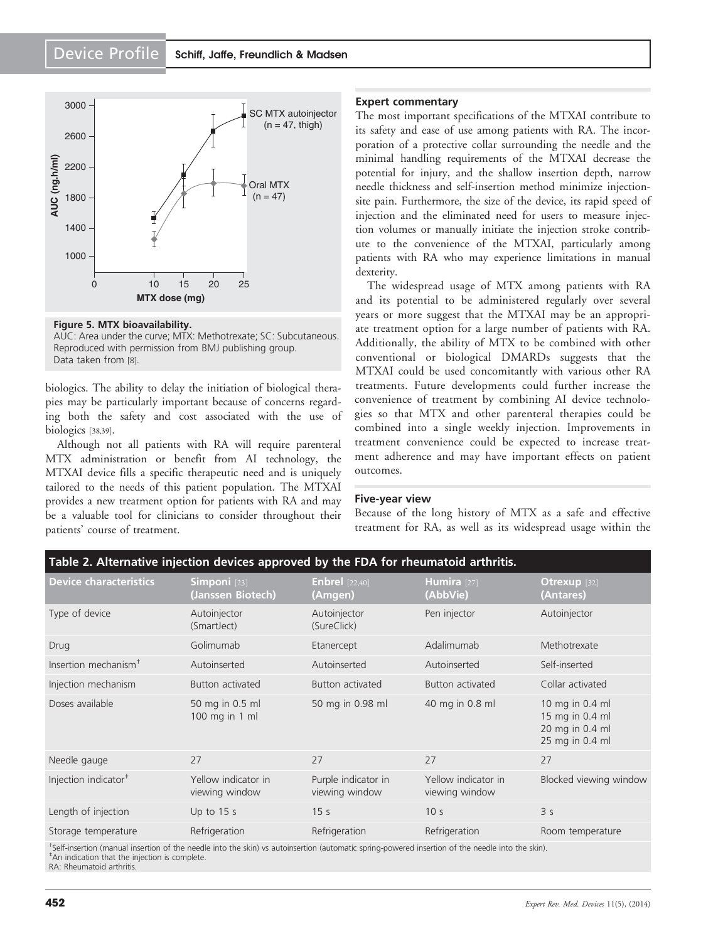<span id="page-6-0"></span>

Figure 5. MTX bioavailability. AUC: Area under the curve; MTX: Methotrexate; SC: Subcutaneous. Reproduced with permission from BMJ publishing group. Data taken from [\[8](#page-8-0)].

biologics. The ability to delay the initiation of biological therapies may be particularly important because of concerns regarding both the safety and cost associated with the use of biologics [\[38,39](#page-9-0)].

Although not all patients with RA will require parenteral MTX administration or benefit from AI technology, the MTXAI device fills a specific therapeutic need and is uniquely tailored to the needs of this patient population. The MTXAI provides a new treatment option for patients with RA and may be a valuable tool for clinicians to consider throughout their patients' course of treatment.

#### Expert commentary

The most important specifications of the MTXAI contribute to its safety and ease of use among patients with RA. The incorporation of a protective collar surrounding the needle and the minimal handling requirements of the MTXAI decrease the potential for injury, and the shallow insertion depth, narrow needle thickness and self-insertion method minimize injectionsite pain. Furthermore, the size of the device, its rapid speed of injection and the eliminated need for users to measure injection volumes or manually initiate the injection stroke contribute to the convenience of the MTXAI, particularly among patients with RA who may experience limitations in manual dexterity.

The widespread usage of MTX among patients with RA and its potential to be administered regularly over several years or more suggest that the MTXAI may be an appropriate treatment option for a large number of patients with RA. Additionally, the ability of MTX to be combined with other conventional or biological DMARDs suggests that the MTXAI could be used concomitantly with various other RA treatments. Future developments could further increase the convenience of treatment by combining AI device technologies so that MTX and other parenteral therapies could be combined into a single weekly injection. Improvements in treatment convenience could be expected to increase treatment adherence and may have important effects on patient outcomes.

#### Five-year view

Because of the long history of MTX as a safe and effective treatment for RA, as well as its widespread usage within the

| Table 2. Alternative injection devices approved by the FDA for rheumatoid arthritis. |                                              |                                       |                                       |                                                                          |  |  |  |  |
|--------------------------------------------------------------------------------------|----------------------------------------------|---------------------------------------|---------------------------------------|--------------------------------------------------------------------------|--|--|--|--|
| <b>Device characteristics</b>                                                        | Simponi <sup>[23]</sup><br>(Janssen Biotech) | <b>Enbrel</b> $[22,40]$<br>(Amgen)    | Humira [27]<br>(AbbVie)               | Otrexup $[32]$<br>(Antares)                                              |  |  |  |  |
| Type of device                                                                       | Autoinjector<br>(SmartJect)                  | Autoinjector<br>(SureClick)           | Pen injector                          | Autoinjector                                                             |  |  |  |  |
| Drug                                                                                 | Golimumab                                    | Etanercept                            | Adalimumab                            | Methotrexate                                                             |  |  |  |  |
| Insertion mechanism <sup>+</sup>                                                     | Autoinserted                                 | Autoinserted                          | Autoinserted                          | Self-inserted                                                            |  |  |  |  |
| Injection mechanism                                                                  | Button activated                             | Button activated                      | Button activated                      | Collar activated                                                         |  |  |  |  |
| Doses available                                                                      | 50 mg in 0.5 ml<br>100 mg in 1 ml            | 50 mg in 0.98 ml                      | 40 mg in 0.8 ml                       | 10 mg in 0.4 ml<br>15 mg in 0.4 ml<br>20 mg in 0.4 ml<br>25 mg in 0.4 ml |  |  |  |  |
| Needle gauge                                                                         | 27                                           | 27                                    | 27                                    | 27                                                                       |  |  |  |  |
| Injection indicator <sup>#</sup>                                                     | Yellow indicator in<br>viewing window        | Purple indicator in<br>viewing window | Yellow indicator in<br>viewing window | Blocked viewing window                                                   |  |  |  |  |
| Length of injection                                                                  | Up to $15 s$                                 | 15 <sub>s</sub>                       | 10 <sub>s</sub>                       | 3 <sub>s</sub>                                                           |  |  |  |  |
| Storage temperature                                                                  | Refrigeration                                | Refrigeration                         | Refrigeration                         | Room temperature                                                         |  |  |  |  |
|                                                                                      |                                              |                                       |                                       |                                                                          |  |  |  |  |

† Self-insertion (manual insertion of the needle into the skin) vs autoinsertion (automatic spring-powered insertion of the needle into the skin). ‡ An indication that the injection is complete. RA: Rheumatoid arthritis.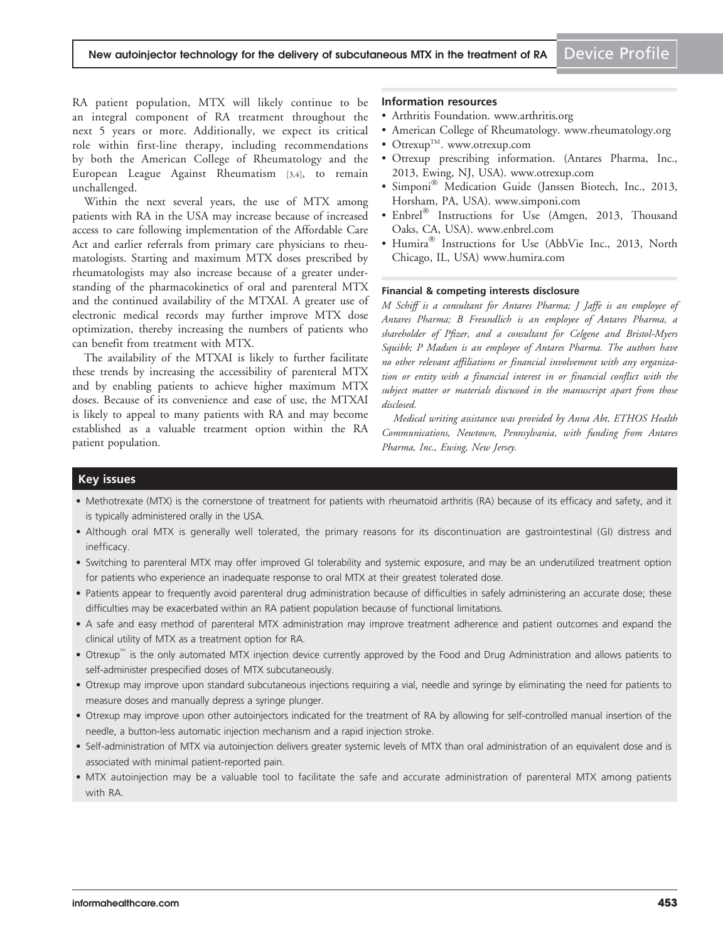RA patient population, MTX will likely continue to be an integral component of RA treatment throughout the next 5 years or more. Additionally, we expect its critical role within first-line therapy, including recommendations by both the American College of Rheumatology and the European League Against Rheumatism [[3](#page-8-0),[4](#page-8-0)], to remain unchallenged.

Within the next several years, the use of MTX among patients with RA in the USA may increase because of increased access to care following implementation of the Affordable Care Act and earlier referrals from primary care physicians to rheumatologists. Starting and maximum MTX doses prescribed by rheumatologists may also increase because of a greater understanding of the pharmacokinetics of oral and parenteral MTX and the continued availability of the MTXAI. A greater use of electronic medical records may further improve MTX dose optimization, thereby increasing the numbers of patients who can benefit from treatment with MTX.

The availability of the MTXAI is likely to further facilitate these trends by increasing the accessibility of parenteral MTX and by enabling patients to achieve higher maximum MTX doses. Because of its convenience and ease of use, the MTXAI is likely to appeal to many patients with RA and may become established as a valuable treatment option within the RA patient population.

#### Information resources

- Arthritis Foundation. [www.arthritis.org](http://www.arthritis.org)
- American College of Rheumatology. [www.rheumatology.org](http://www.rheumatology.org)
- Otrexup<sup>TM</sup>. [www.otrexup.com](http://www.otrexup.com)
- Otrexup prescribing information. (Antares Pharma, Inc., 2013, Ewing, NJ, USA). [www.otrexup.com](http://www.otrexup.com)
- Simponi<sup>®</sup> Medication Guide (Janssen Biotech, Inc., 2013, Horsham, PA, USA). [www.simponi.com](http://www.simponi.com)
- $Enberel^@$  Instructions for Use (Amgen, 2013, Thousand Oaks, CA, USA). [www.enbrel.com](http://www.enbrel.com)
- Humira<sup>®</sup> Instructions for Use (AbbVie Inc., 2013, North Chicago, IL, USA) [www.humira.com](http://www.humira.com)

#### Financial & competing interests disclosure

M Schiff is a consultant for Antares Pharma; J Jaffe is an employee of Antares Pharma; B Freundlich is an employee of Antares Pharma, a shareholder of Pfizer, and a consultant for Celgene and Bristol-Myers Squibb; P Madsen is an employee of Antares Pharma. The authors have no other relevant affiliations or financial involvement with any organization or entity with a financial interest in or financial conflict with the subject matter or materials discussed in the manuscript apart from those disclosed.

Medical writing assistance was provided by Anna Abt, ETHOS Health Communications, Newtown, Pennsylvania, with funding from Antares Pharma, Inc., Ewing, New Jersey.

#### Key issues

- Methotrexate (MTX) is the cornerstone of treatment for patients with rheumatoid arthritis (RA) because of its efficacy and safety, and it is typically administered orally in the USA.
- Although oral MTX is generally well tolerated, the primary reasons for its discontinuation are gastrointestinal (GI) distress and inefficacy.
- Switching to parenteral MTX may offer improved GI tolerability and systemic exposure, and may be an underutilized treatment option for patients who experience an inadequate response to oral MTX at their greatest tolerated dose.
- Patients appear to frequently avoid parenteral drug administration because of difficulties in safely administering an accurate dose; these difficulties may be exacerbated within an RA patient population because of functional limitations.
- A safe and easy method of parenteral MTX administration may improve treatment adherence and patient outcomes and expand the clinical utility of MTX as a treatment option for RA.
- Otrexup<sup>™</sup> is the only automated MTX injection device currently approved by the Food and Drug Administration and allows patients to self-administer prespecified doses of MTX subcutaneously.
- Otrexup may improve upon standard subcutaneous injections requiring a vial, needle and syringe by eliminating the need for patients to measure doses and manually depress a syringe plunger.
- Otrexup may improve upon other autoinjectors indicated for the treatment of RA by allowing for self-controlled manual insertion of the needle, a button-less automatic injection mechanism and a rapid injection stroke.
- Self-administration of MTX via autoinjection delivers greater systemic levels of MTX than oral administration of an equivalent dose and is associated with minimal patient-reported pain.
- MTX autoinjection may be a valuable tool to facilitate the safe and accurate administration of parenteral MTX among patients with RA.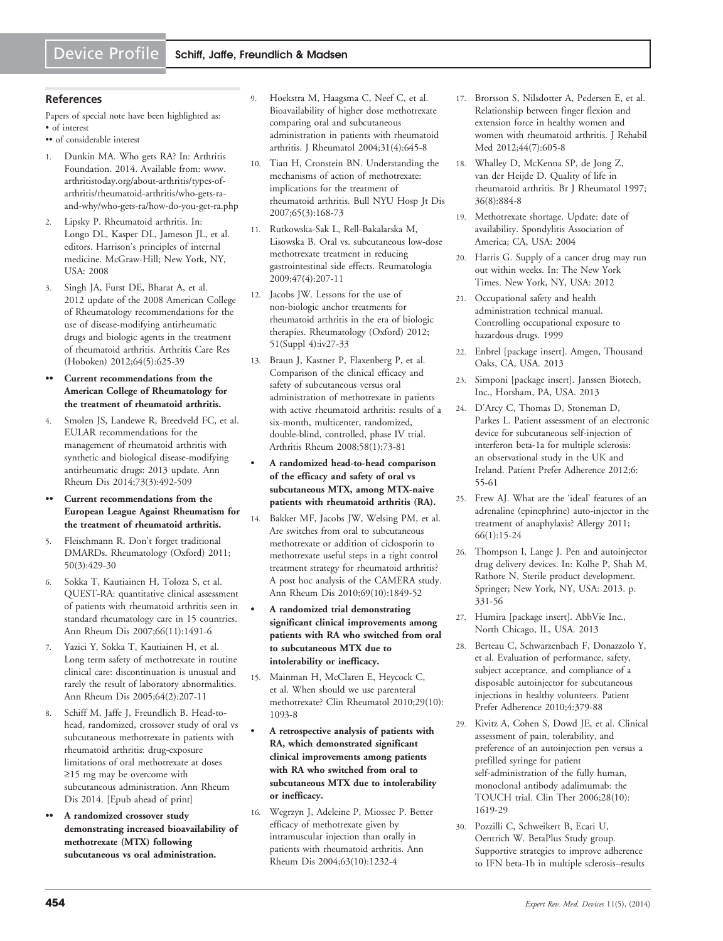#### <span id="page-8-0"></span>**References**

Papers of special note have been highlighted as: • of interest

- •• of considerable interest
- 1. Dunkin MA. Who gets RA? In: Arthritis Foundation. 2014. Available from: [www.](www.arthritistoday.org/about-arthritis/types-of-arthritis/rheumatoid-arthritis/who-gets-ra-and-why/who-gets-ra/how-do-you-get-ra.php) [arthritistoday.org/about-arthritis/types-of](www.arthritistoday.org/about-arthritis/types-of-arthritis/rheumatoid-arthritis/who-gets-ra-and-why/who-gets-ra/how-do-you-get-ra.php)[arthritis/rheumatoid-arthritis/who-gets-ra](www.arthritistoday.org/about-arthritis/types-of-arthritis/rheumatoid-arthritis/who-gets-ra-and-why/who-gets-ra/how-do-you-get-ra.php)[and-why/who-gets-ra/how-do-you-get-ra.php](www.arthritistoday.org/about-arthritis/types-of-arthritis/rheumatoid-arthritis/who-gets-ra-and-why/who-gets-ra/how-do-you-get-ra.php)
- 2. Lipsky P. Rheumatoid arthritis. In: Longo DL, Kasper DL, Jameson JL, et al. editors. Harrison's principles of internal medicine. McGraw-Hill; New York, NY, USA: 2008
- 3. Singh JA, Furst DE, Bharat A, et al. [2012 update of the 2008 American College](http://www.ncbi.nlm.nih.gov/pubmed/22473917?dopt=Abstract) [of Rheumatology recommendations for the](http://www.ncbi.nlm.nih.gov/pubmed/22473917?dopt=Abstract) [use of disease-modifying antirheumatic](http://www.ncbi.nlm.nih.gov/pubmed/22473917?dopt=Abstract) [drugs and biologic agents in the treatment](http://www.ncbi.nlm.nih.gov/pubmed/22473917?dopt=Abstract) [of rheumatoid arthritis](http://www.ncbi.nlm.nih.gov/pubmed/22473917?dopt=Abstract). Arthritis Care Res (Hoboken) 2012;64(5):625-39
- Current recommendations from the American College of Rheumatology for the treatment of rheumatoid arthritis.
- 4. Smolen JS, Landewe R, Breedveld FC, et al. [EULAR recommendations for the](http://www.ncbi.nlm.nih.gov/pubmed/24161836?dopt=Abstract) [management of rheumatoid arthritis with](http://www.ncbi.nlm.nih.gov/pubmed/24161836?dopt=Abstract) [synthetic and biological disease-modifying](http://www.ncbi.nlm.nih.gov/pubmed/24161836?dopt=Abstract) [antirheumatic drugs: 2013 update](http://www.ncbi.nlm.nih.gov/pubmed/24161836?dopt=Abstract). Ann Rheum Dis 2014;73(3):492-509
- Current recommendations from the European League Against Rheumatism for the treatment of rheumatoid arthritis.
- 5. Fleischmann R. [Don](http://www.ncbi.nlm.nih.gov/pubmed/21339283?dopt=Abstract)'[t forget traditional](http://www.ncbi.nlm.nih.gov/pubmed/21339283?dopt=Abstract) [DMARDs](http://www.ncbi.nlm.nih.gov/pubmed/21339283?dopt=Abstract). Rheumatology (Oxford) 2011; 50(3):429-30
- 6. Sokka T, Kautiainen H, Toloza S, et al. [QUEST-RA: quantitative clinical assessment](http://www.ncbi.nlm.nih.gov/pubmed/17412740?dopt=Abstract) [of patients with rheumatoid arthritis seen in](http://www.ncbi.nlm.nih.gov/pubmed/17412740?dopt=Abstract) [standard rheumatology care in 15 countries.](http://www.ncbi.nlm.nih.gov/pubmed/17412740?dopt=Abstract) Ann Rheum Dis 2007;66(11):1491-6
- 7. Yazici Y, Sokka T, Kautiainen H, et al. [Long term safety of methotrexate in routine](http://www.ncbi.nlm.nih.gov/pubmed/15208176?dopt=Abstract) [clinical care: discontinuation is unusual and](http://www.ncbi.nlm.nih.gov/pubmed/15208176?dopt=Abstract) [rarely the result of laboratory abnormalities](http://www.ncbi.nlm.nih.gov/pubmed/15208176?dopt=Abstract). Ann Rheum Dis 2005;64(2):207-11
- 8. Schiff M, Jaffe J, Freundlich B. [Head-to](http://www.ncbi.nlm.nih.gov/pubmed/24728329?dopt=Abstract)[head, randomized, crossover study of oral vs](http://www.ncbi.nlm.nih.gov/pubmed/24728329?dopt=Abstract) [subcutaneous methotrexate in patients with](http://www.ncbi.nlm.nih.gov/pubmed/24728329?dopt=Abstract) [rheumatoid arthritis: drug-exposure](http://www.ncbi.nlm.nih.gov/pubmed/24728329?dopt=Abstract) [limitations of oral methotrexate at doses](http://www.ncbi.nlm.nih.gov/pubmed/24728329?dopt=Abstract)  $\geq$ [15 mg may be overcome with](http://www.ncbi.nlm.nih.gov/pubmed/24728329?dopt=Abstract) [subcutaneous administration.](http://www.ncbi.nlm.nih.gov/pubmed/24728329?dopt=Abstract) Ann Rheum Dis 2014. [Epub ahead of print]
- A randomized crossover study demonstrating increased bioavailability of methotrexate (MTX) following subcutaneous vs oral administration.
- 9. Hoekstra M, Haagsma C, Neef C, et al. [Bioavailability of higher dose methotrexate](http://www.ncbi.nlm.nih.gov/pubmed/15088287?dopt=Abstract) [comparing oral and subcutaneous](http://www.ncbi.nlm.nih.gov/pubmed/15088287?dopt=Abstract) [administration in patients with rheumatoid](http://www.ncbi.nlm.nih.gov/pubmed/15088287?dopt=Abstract) [arthritis.](http://www.ncbi.nlm.nih.gov/pubmed/15088287?dopt=Abstract) J Rheumatol 2004;31(4):645-8
- 10. Tian H, Cronstein BN. [Understanding the](http://www.ncbi.nlm.nih.gov/pubmed/17922664?dopt=Abstract) [mechanisms of action of methotrexate:](http://www.ncbi.nlm.nih.gov/pubmed/17922664?dopt=Abstract) [implications for the treatment of](http://www.ncbi.nlm.nih.gov/pubmed/17922664?dopt=Abstract) [rheumatoid arthritis](http://www.ncbi.nlm.nih.gov/pubmed/17922664?dopt=Abstract). Bull NYU Hosp Jt Dis 2007;65(3):168-73
- 11. Rutkowska-Sak L, Rell-Bakalarska M, Lisowska B. Oral vs. subcutaneous low-dose methotrexate treatment in reducing gastrointestinal side effects. Reumatologia 2009;47(4):207-11
- 12. Jacobs JW. [Lessons for the use of](http://www.ncbi.nlm.nih.gov/pubmed/22685273?dopt=Abstract) [non-biologic anchor treatments for](http://www.ncbi.nlm.nih.gov/pubmed/22685273?dopt=Abstract) [rheumatoid arthritis in the era of biologic](http://www.ncbi.nlm.nih.gov/pubmed/22685273?dopt=Abstract) [therapies.](http://www.ncbi.nlm.nih.gov/pubmed/22685273?dopt=Abstract) Rheumatology (Oxford) 2012; 51(Suppl 4):iv27-33
- 13. Braun J, Kastner P, Flaxenberg P, et al. [Comparison of the clinical efficacy and](http://www.ncbi.nlm.nih.gov/pubmed/18163521?dopt=Abstract) [safety of subcutaneous versus oral](http://www.ncbi.nlm.nih.gov/pubmed/18163521?dopt=Abstract) [administration of methotrexate in patients](http://www.ncbi.nlm.nih.gov/pubmed/18163521?dopt=Abstract) [with active rheumatoid arthritis: results of a](http://www.ncbi.nlm.nih.gov/pubmed/18163521?dopt=Abstract) [six-month, multicenter, randomized,](http://www.ncbi.nlm.nih.gov/pubmed/18163521?dopt=Abstract) [double-blind, controlled, phase IV trial.](http://www.ncbi.nlm.nih.gov/pubmed/18163521?dopt=Abstract) Arthritis Rheum 2008;58(1):73-81
- A randomized head-to-head comparison of the efficacy and safety of oral vs subcutaneous MTX, among MTX-naive patients with rheumatoid arthritis (RA).
- 14. Bakker MF, Jacobs JW, Welsing PM, et al. [Are switches from oral to subcutaneous](http://www.ncbi.nlm.nih.gov/pubmed/20511610?dopt=Abstract) [methotrexate or addition of ciclosporin to](http://www.ncbi.nlm.nih.gov/pubmed/20511610?dopt=Abstract) [methotrexate useful steps in a tight control](http://www.ncbi.nlm.nih.gov/pubmed/20511610?dopt=Abstract) [treatment strategy for rheumatoid arthritis?](http://www.ncbi.nlm.nih.gov/pubmed/20511610?dopt=Abstract) [A post hoc analysis of the CAMERA study](http://www.ncbi.nlm.nih.gov/pubmed/20511610?dopt=Abstract). Ann Rheum Dis 2010;69(10):1849-52
- A randomized trial demonstrating significant clinical improvements among patients with RA who switched from oral to subcutaneous MTX due to intolerability or inefficacy.
- 15. Mainman H, McClaren E, Heycock C, et al. [When should we use parenteral](http://www.ncbi.nlm.nih.gov/pubmed/20544244?dopt=Abstract) [methotrexate?](http://www.ncbi.nlm.nih.gov/pubmed/20544244?dopt=Abstract) Clin Rheumatol 2010;29(10): 1093-8
- A retrospective analysis of patients with RA, which demonstrated significant clinical improvements among patients with RA who switched from oral to subcutaneous MTX due to intolerability or inefficacy.
- 16. Wegrzyn J, Adeleine P, Miossec P. [Better](http://www.ncbi.nlm.nih.gov/pubmed/15361377?dopt=Abstract) [efficacy of methotrexate given by](http://www.ncbi.nlm.nih.gov/pubmed/15361377?dopt=Abstract) [intramuscular injection than orally in](http://www.ncbi.nlm.nih.gov/pubmed/15361377?dopt=Abstract) [patients with rheumatoid arthritis](http://www.ncbi.nlm.nih.gov/pubmed/15361377?dopt=Abstract). Ann Rheum Dis 2004;63(10):1232-4
- 17. Brorsson S, Nilsdotter A, Pedersen E, et al. [Relationship between finger flexion and](http://www.ncbi.nlm.nih.gov/pubmed/22674244?dopt=Abstract) [extension force in healthy women and](http://www.ncbi.nlm.nih.gov/pubmed/22674244?dopt=Abstract) [women with rheumatoid arthritis](http://www.ncbi.nlm.nih.gov/pubmed/22674244?dopt=Abstract). J Rehabil Med 2012;44(7):605-8
- 18. Whalley D, McKenna SP, de Jong Z, van der Heijde D. [Quality of life in](http://www.ncbi.nlm.nih.gov/pubmed/9291858?dopt=Abstract) [rheumatoid arthritis](http://www.ncbi.nlm.nih.gov/pubmed/9291858?dopt=Abstract). Br J Rheumatol 1997; 36(8):884-8
- 19. Methotrexate shortage. Update: date of availability. Spondylitis Association of America; CA, USA: 2004
- 20. Harris G. Supply of a cancer drug may run out within weeks. In: The New York Times. New York, NY, USA: 2012
- 21. Occupational safety and health administration technical manual. Controlling occupational exposure to hazardous drugs. 1999
- 22. Enbrel [package insert]. Amgen, Thousand Oaks, CA, USA. 2013
- 23. Simponi [package insert]. Janssen Biotech, Inc., Horsham, PA, USA. 2013
- 24. D'Arcy C, Thomas D, Stoneman D, Parkes L. [Patient assessment of an electronic](http://www.ncbi.nlm.nih.gov/pubmed/22298944?dopt=Abstract) [device for subcutaneous self-injection of](http://www.ncbi.nlm.nih.gov/pubmed/22298944?dopt=Abstract) [interferon beta-1a for multiple sclerosis:](http://www.ncbi.nlm.nih.gov/pubmed/22298944?dopt=Abstract) [an observational study in the UK and](http://www.ncbi.nlm.nih.gov/pubmed/22298944?dopt=Abstract) [Ireland](http://www.ncbi.nlm.nih.gov/pubmed/22298944?dopt=Abstract). Patient Prefer Adherence 2012;6: 55-61
- 25. Frew AJ. [What are the](http://www.ncbi.nlm.nih.gov/pubmed/20716315?dopt=Abstract) '[ideal](http://www.ncbi.nlm.nih.gov/pubmed/20716315?dopt=Abstract)' [features of an](http://www.ncbi.nlm.nih.gov/pubmed/20716315?dopt=Abstract) [adrenaline \(epinephrine\) auto-injector in the](http://www.ncbi.nlm.nih.gov/pubmed/20716315?dopt=Abstract) [treatment of anaphylaxis?](http://www.ncbi.nlm.nih.gov/pubmed/20716315?dopt=Abstract) Allergy 2011; 66(1):15-24
- 26. Thompson I, Lange J. Pen and autoinjector drug delivery devices. In: Kolhe P, Shah M, Rathore N, Sterile product development. Springer; New York, NY, USA: 2013. p. 331-56
- 27. Humira [package insert]. AbbVie Inc., North Chicago, IL, USA. 2013
- 28. Berteau C, Schwarzenbach F, Donazzolo Y, et al. [Evaluation of performance, safety,](http://www.ncbi.nlm.nih.gov/pubmed/21049090?dopt=Abstract) [subject acceptance, and compliance of a](http://www.ncbi.nlm.nih.gov/pubmed/21049090?dopt=Abstract) [disposable autoinjector for subcutaneous](http://www.ncbi.nlm.nih.gov/pubmed/21049090?dopt=Abstract) [injections in healthy volunteers.](http://www.ncbi.nlm.nih.gov/pubmed/21049090?dopt=Abstract) Patient Prefer Adherence 2010;4:379-88
- 29. Kivitz A, Cohen S, Dowd JE, et al. [Clinical](http://www.ncbi.nlm.nih.gov/pubmed/17157117?dopt=Abstract) [assessment of pain, tolerability, and](http://www.ncbi.nlm.nih.gov/pubmed/17157117?dopt=Abstract) [preference of an autoinjection pen versus a](http://www.ncbi.nlm.nih.gov/pubmed/17157117?dopt=Abstract) [prefilled syringe for patient](http://www.ncbi.nlm.nih.gov/pubmed/17157117?dopt=Abstract) [self-administration of the fully human,](http://www.ncbi.nlm.nih.gov/pubmed/17157117?dopt=Abstract) [monoclonal antibody adalimumab: the](http://www.ncbi.nlm.nih.gov/pubmed/17157117?dopt=Abstract) [TOUCH trial](http://www.ncbi.nlm.nih.gov/pubmed/17157117?dopt=Abstract). Clin Ther 2006;28(10): 1619-29
- 30. Pozzilli C, Schweikert B, Ecari U, Oentrich W. [BetaPlus Study group.](http://www.ncbi.nlm.nih.gov/pubmed/21636099?dopt=Abstract) [Supportive strategies to improve adherence](http://www.ncbi.nlm.nih.gov/pubmed/21636099?dopt=Abstract) [to IFN beta-1b in multiple sclerosis–results](http://www.ncbi.nlm.nih.gov/pubmed/21636099?dopt=Abstract)